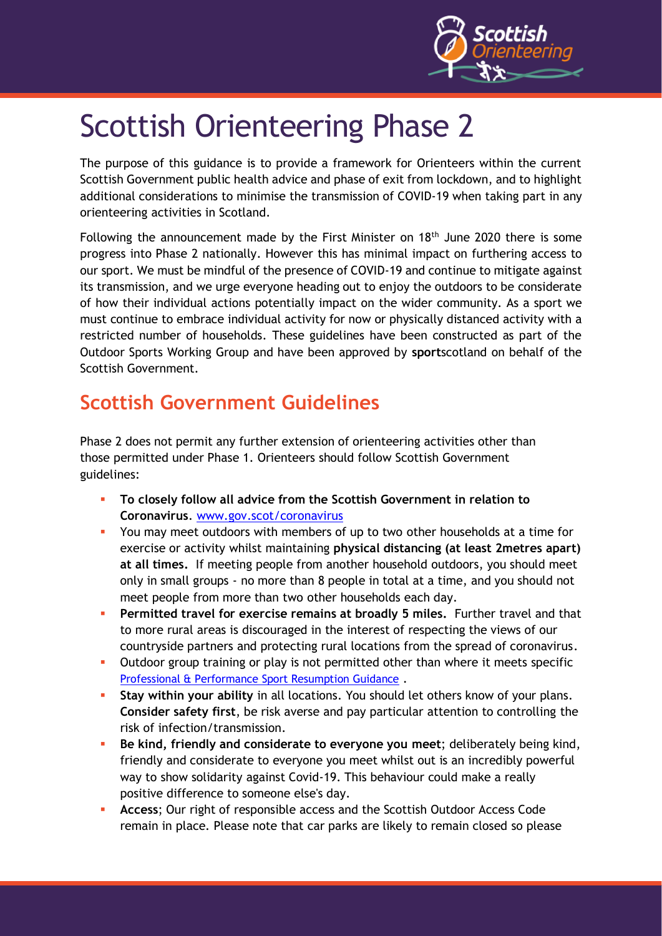

# Scottish Orienteering Phase 2

The purpose of this guidance is to provide a framework for Orienteers within the current Scottish Government public health advice and phase of exit from lockdown, and to highlight additional considerations to minimise the transmission of COVID-19 when taking part in any orienteering activities in Scotland.

Following the announcement made by the First Minister on  $18<sup>th</sup>$  June 2020 there is some progress into Phase 2 nationally. However this has minimal impact on furthering access to our sport. We must be mindful of the presence of COVID-19 and continue to mitigate against its transmission, and we urge everyone heading out to enjoy the outdoors to be considerate of how their individual actions potentially impact on the wider community. As a sport we must continue to embrace individual activity for now or physically distanced activity with a restricted number of households. These guidelines have been constructed as part of the Outdoor Sports Working Group and have been approved by **sport**scotland on behalf of the Scottish Government.

## **Scottish Government Guidelines**

Phase 2 does not permit any further extension of orienteering activities other than those permitted under Phase 1. Orienteers should follow Scottish Government guidelines:

- To closely follow all advice from the Scottish Government in relation to **Coronavirus**. [www.gov.scot/coronavirus](http://www.gov.scot/coronavirus)
- **•** You may meet outdoors with members of up to two other households at a time for exercise or activity whilst maintaining **physical distancing (at least 2metres apart) at all times.** If meeting people from another household outdoors, you should meet only in small groups - no more than 8 people in total at a time, and you should not meet people from more than two other households each day.
- **Permitted travel for exercise remains at broadly 5 miles.** Further travel and that to more rural areas is discouraged in the interest of respecting the views of our countryside partners and protecting rural locations from the spread of coronavirus.
- **•** Outdoor group training or play is not permitted other than where it meets specific [Professional & Performance Sport Resumption Guidance](http://www.sportscotland.org.uk/covid-19/latest-outdoor-sport-and-physical-activity-guidance/) .
- **Stay within your ability** in all locations. You should let others know of your plans. **Consider safety first**, be risk averse and pay particular attention to controlling the risk of infection/transmission.
- **Be kind, friendly and considerate to everyone you meet**; deliberately being kind, friendly and considerate to everyone you meet whilst out is an incredibly powerful way to show solidarity against Covid-19. This behaviour could make a really positive difference to someone else's day.
- Access; Our right of responsible access and the Scottish Outdoor Access Code remain in place. Please note that car parks are likely to remain closed so please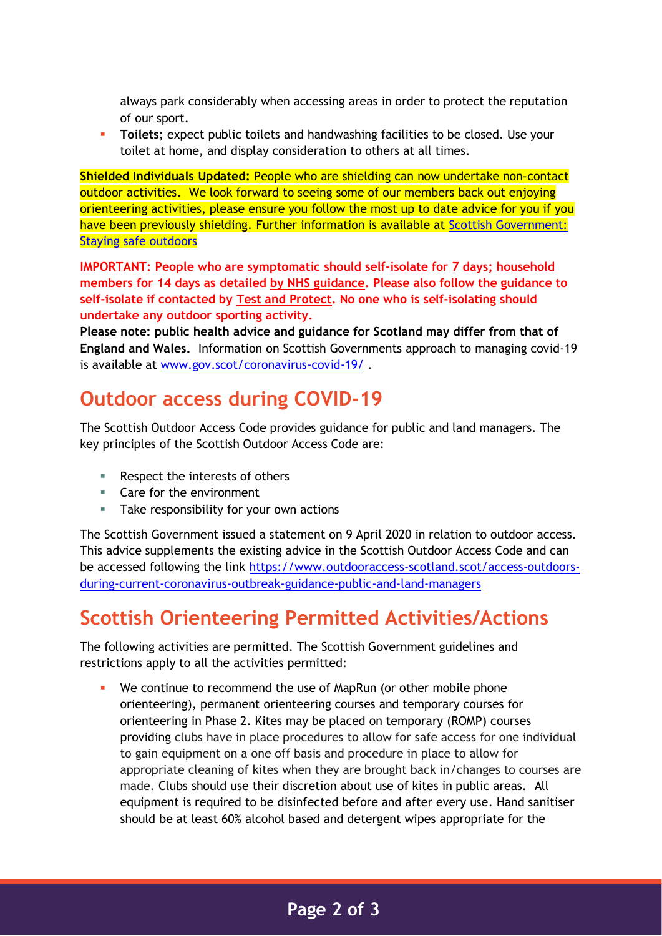always park considerably when accessing areas in order to protect the reputation of our sport.

▪ **Toilets**; expect public toilets and handwashing facilities to be closed. Use your toilet at home, and display consideration to others at all times.

**Shielded Individuals Updated:** People who are shielding can now undertake non-contact outdoor activities. We look forward to seeing some of our members back out enjoying orienteering activities, please ensure you follow the most up to date advice for you if you have been previously shielding. Further information is available at Scottish Government: [Staying safe outdoors](http://www.gov.scot/publications/covid-shielding/pages/staying-safe-outdoors/)

**IMPORTANT: People who are symptomatic should self-isolate for 7 days; household members for 14 days as detailed [by NHS guidance.](https://www.nhs.uk/conditions/coronavirus-covid-19/) Please also follow the guidance to self-isolate if contacted by [Test and Protect.](https://www.gov.scot/publications/coronavirus-covid-19-test-and-protect/) No one who is self-isolating should undertake any outdoor sporting activity.**

**Please note: public health advice and guidance for Scotland may differ from that of England and Wales.** Information on Scottish Governments approach to managing covid-19 is available at [www.gov.scot/coronavirus-covid-19/](http://www.gov.scot/coronavirus-covid-19/) .

### **Outdoor access during COVID-19**

The Scottish Outdoor Access Code provides guidance for public and land managers. The key principles of the Scottish Outdoor Access Code are:

- Respect the interests of others
- Care for the environment
- Take responsibility for your own actions

The Scottish Government issued a statement on 9 April 2020 in relation to outdoor access. This advice supplements the existing advice in the Scottish Outdoor Access Code and can be accessed following the link [https://www.outdooraccess-scotland.scot/access-outdoors](https://www.outdooraccess-scotland.scot/access-outdoors-during-current-coronavirus-outbreak-guidance-public-and-land-managers)[during-current-coronavirus-outbreak-guidance-public-and-land-managers](https://www.outdooraccess-scotland.scot/access-outdoors-during-current-coronavirus-outbreak-guidance-public-and-land-managers)

## **Scottish Orienteering Permitted Activities/Actions**

The following activities are permitted. The Scottish Government guidelines and restrictions apply to all the activities permitted:

We continue to recommend the use of MapRun (or other mobile phone orienteering), permanent orienteering courses and temporary courses for orienteering in Phase 2. Kites may be placed on temporary (ROMP) courses providing clubs have in place procedures to allow for safe access for one individual to gain equipment on a one off basis and procedure in place to allow for appropriate cleaning of kites when they are brought back in/changes to courses are made. Clubs should use their discretion about use of kites in public areas. All equipment is required to be disinfected before and after every use. Hand sanitiser should be at least 60% alcohol based and detergent wipes appropriate for the